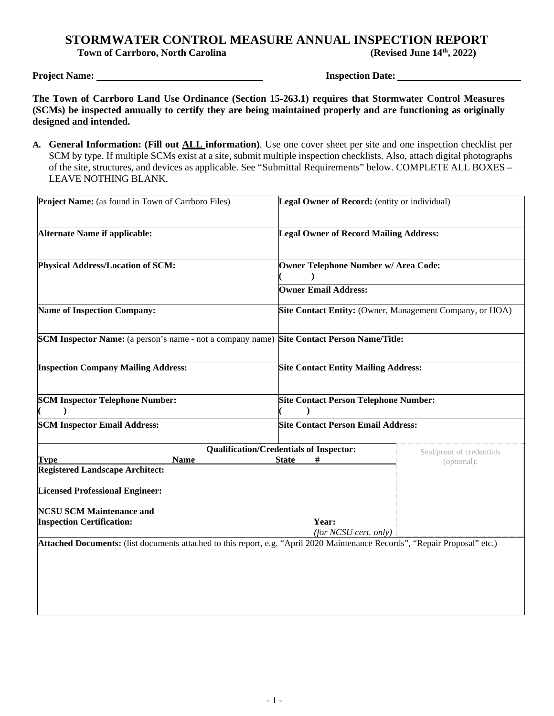# **STORMWATER CONTROL MEASURE ANNUAL INSPECTION REPORT**<br>Town of Carrboro, North Carolina (Revised June 14<sup>th</sup>, 2022)

**Town of Carrboro, North Carolina** 

**Project Name:** Inspection Date:

**The Town of Carrboro Land Use Ordinance (Section 15-263.1) requires that Stormwater Control Measures (SCMs) be inspected annually to certify they are being maintained properly and are functioning as originally designed and intended.** 

**A. General Information: (Fill out ALL information)**. Use one cover sheet per site and one inspection checklist per SCM by type. If multiple SCMs exist at a site, submit multiple inspection checklists. Also, attach digital photographs of the site, structures, and devices as applicable. See "Submittal Requirements" below. COMPLETE ALL BOXES – LEAVE NOTHING BLANK.

| Project Name: (as found in Town of Carrboro Files)                                                                          | Legal Owner of Record: (entity or individual)            |                           |
|-----------------------------------------------------------------------------------------------------------------------------|----------------------------------------------------------|---------------------------|
| <b>Alternate Name if applicable:</b>                                                                                        | <b>Legal Owner of Record Mailing Address:</b>            |                           |
| Physical Address/Location of SCM:                                                                                           | <b>Owner Telephone Number w/ Area Code:</b>              |                           |
|                                                                                                                             | <b>Owner Email Address:</b>                              |                           |
| <b>Name of Inspection Company:</b>                                                                                          | Site Contact Entity: (Owner, Management Company, or HOA) |                           |
| <b>SCM Inspector Name:</b> (a person's name - not a company name) <b>Site Contact Person Name/Title:</b>                    |                                                          |                           |
| <b>Inspection Company Mailing Address:</b>                                                                                  | <b>Site Contact Entity Mailing Address:</b>              |                           |
| <b>SCM Inspector Telephone Number:</b>                                                                                      | <b>Site Contact Person Telephone Number:</b>             |                           |
| <b>SCM Inspector Email Address:</b>                                                                                         | <b>Site Contact Person Email Address:</b>                |                           |
|                                                                                                                             | <b>Qualification/Credentials of Inspector:</b>           | Seal/proof of credentials |
| <b>Type</b><br><b>Name</b>                                                                                                  | #<br><b>State</b>                                        | (optional):               |
| <b>Registered Landscape Architect:</b>                                                                                      |                                                          |                           |
| <b>Licensed Professional Engineer:</b>                                                                                      |                                                          |                           |
| <b>NCSU SCM Maintenance and</b>                                                                                             |                                                          |                           |
| <b>Inspection Certification:</b>                                                                                            | Year:                                                    |                           |
|                                                                                                                             | (for NCSU cert. only)                                    |                           |
| Attached Documents: (list documents attached to this report, e.g. "April 2020 Maintenance Records", "Repair Proposal" etc.) |                                                          |                           |
|                                                                                                                             |                                                          |                           |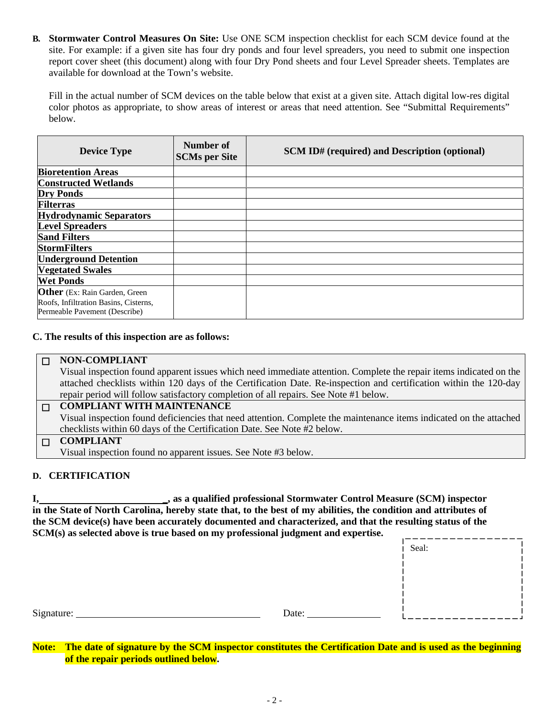**B. Stormwater Control Measures On Site:** Use ONE SCM inspection checklist for each SCM device found at the site. For example: if a given site has four dry ponds and four level spreaders, you need to submit one inspection report cover sheet (this document) along with four Dry Pond sheets and four Level Spreader sheets. Templates are available for download at the Town's website.

Fill in the actual number of SCM devices on the table below that exist at a given site. Attach digital low-res digital color photos as appropriate, to show areas of interest or areas that need attention. See "Submittal Requirements" below.

| <b>Device Type</b>                                                                                              | Number of<br><b>SCMs per Site</b> | <b>SCM ID#</b> (required) and Description (optional) |
|-----------------------------------------------------------------------------------------------------------------|-----------------------------------|------------------------------------------------------|
| <b>Bioretention Areas</b>                                                                                       |                                   |                                                      |
| <b>Constructed Wetlands</b>                                                                                     |                                   |                                                      |
| <b>Dry Ponds</b>                                                                                                |                                   |                                                      |
| <b>Filterras</b>                                                                                                |                                   |                                                      |
| <b>Hydrodynamic Separators</b>                                                                                  |                                   |                                                      |
| <b>Level Spreaders</b>                                                                                          |                                   |                                                      |
| <b>Sand Filters</b>                                                                                             |                                   |                                                      |
| <b>StormFilters</b>                                                                                             |                                   |                                                      |
| <b>Underground Detention</b>                                                                                    |                                   |                                                      |
| <b>Vegetated Swales</b>                                                                                         |                                   |                                                      |
| <b>Wet Ponds</b>                                                                                                |                                   |                                                      |
| <b>Other</b> (Ex: Rain Garden, Green)<br>Roofs, Infiltration Basins, Cisterns,<br>Permeable Pavement (Describe) |                                   |                                                      |

## **C. The results of this inspection are as follows:**

| I NON-COMPLIANT                       |
|---------------------------------------|
| March increased on form demonstration |

Visual inspection found apparent issues which need immediate attention. Complete the repair items indicated on the attached checklists within 120 days of the Certification Date. Re-inspection and certification within the 120-day repair period will follow satisfactory completion of all repairs. See Note #1 below.

## ☐ **COMPLIANT WITH MAINTENANCE**

Visual inspection found deficiencies that need attention. Complete the maintenance items indicated on the attached checklists within 60 days of the Certification Date. See Note #2 below.

## ☐ **COMPLIANT**  Visual inspection found no apparent issues. See Note #3 below.

## **D. CERTIFICATION**

**I, \_, as a qualified professional Stormwater Control Measure (SCM) inspector in the State of North Carolina, hereby state that, to the best of my abilities, the condition and attributes of the SCM device(s) have been accurately documented and characterized, and that the resulting status of the SCM(s) as selected above is true based on my professional judgment and expertise.** 

| $DCTU(3)$ as selected above is true based on my professional judgment and expertise. |       |       |  |
|--------------------------------------------------------------------------------------|-------|-------|--|
|                                                                                      |       | Seal: |  |
|                                                                                      |       |       |  |
|                                                                                      |       |       |  |
|                                                                                      |       |       |  |
| Signature:                                                                           | Date: |       |  |

**Note: The date of signature by the SCM inspector constitutes the Certification Date and is used as the beginning of the repair periods outlined below.**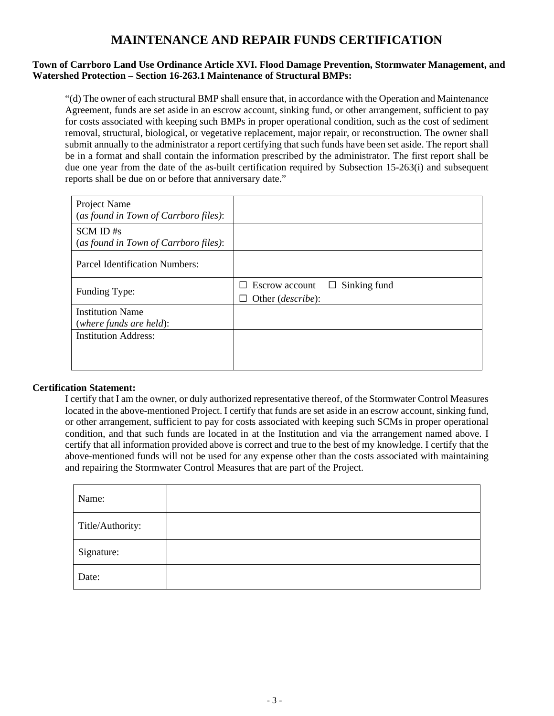## **MAINTENANCE AND REPAIR FUNDS CERTIFICATION**

## **Town of Carrboro Land Use Ordinance Article XVI. Flood Damage Prevention, Stormwater Management, and Watershed Protection – Section 16-263.1 Maintenance of Structural BMPs:**

"(d) The owner of each structural BMP shall ensure that, in accordance with the Operation and Maintenance Agreement, funds are set aside in an escrow account, sinking fund, or other arrangement, sufficient to pay for costs associated with keeping such BMPs in proper operational condition, such as the cost of sediment removal, structural, biological, or vegetative replacement, major repair, or reconstruction. The owner shall submit annually to the administrator a report certifying that such funds have been set aside. The report shall be in a format and shall contain the information prescribed by the administrator. The first report shall be due one year from the date of the as-built certification required by Subsection 15-263(i) and subsequent reports shall be due on or before that anniversary date."

| Project Name<br>(as found in Town of Carrboro files): |                                                                                                    |
|-------------------------------------------------------|----------------------------------------------------------------------------------------------------|
| SCM ID#s<br>(as found in Town of Carrboro files):     |                                                                                                    |
| Parcel Identification Numbers:                        |                                                                                                    |
| Funding Type:                                         | Sinking fund<br>Escrow account<br>⊔<br>ΙI<br>Other <i>(describe)</i> :<br>$\overline{\phantom{a}}$ |
| <b>Institution Name</b><br>(where funds are held):    |                                                                                                    |
| <b>Institution Address:</b>                           |                                                                                                    |
|                                                       |                                                                                                    |

## **Certification Statement:**

I certify that I am the owner, or duly authorized representative thereof, of the Stormwater Control Measures located in the above-mentioned Project. I certify that funds are set aside in an escrow account, sinking fund, or other arrangement, sufficient to pay for costs associated with keeping such SCMs in proper operational condition, and that such funds are located in at the Institution and via the arrangement named above. I certify that all information provided above is correct and true to the best of my knowledge. I certify that the above-mentioned funds will not be used for any expense other than the costs associated with maintaining and repairing the Stormwater Control Measures that are part of the Project.

| Name:            |  |
|------------------|--|
| Title/Authority: |  |
| Signature:       |  |
| Date:            |  |